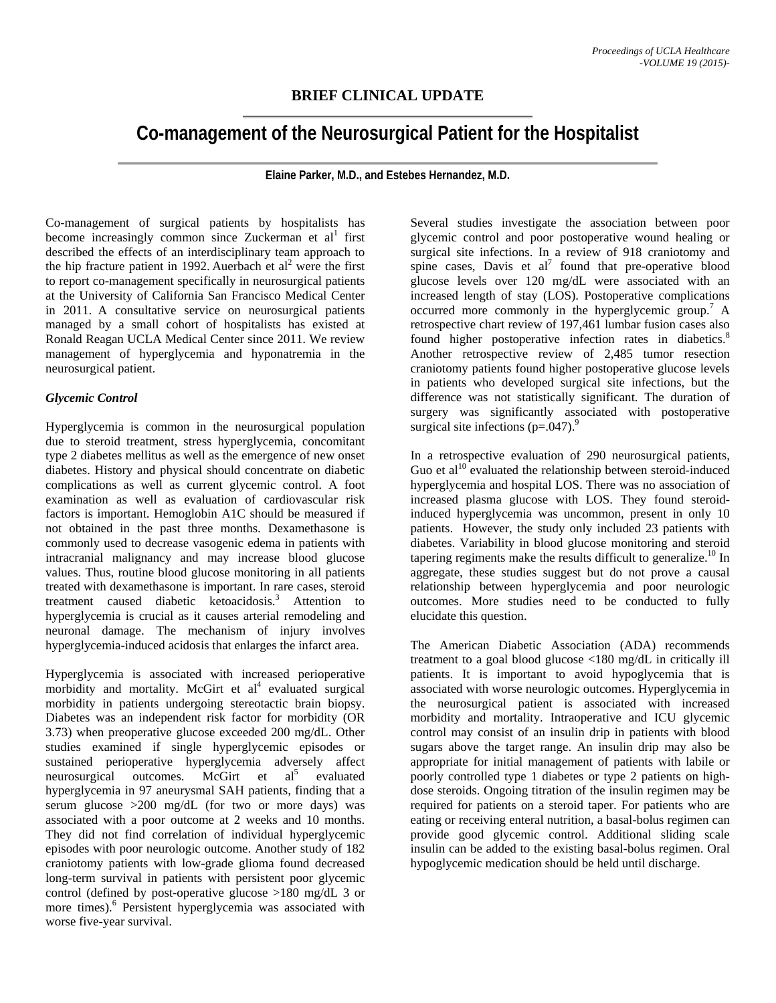## **BRIEF CLINICAL UPDATE**

# **Co-management of the Neurosurgical Patient for the Hospitalist**

**Elaine Parker, M.D., and Estebes Hernandez, M.D.** 

Co-management of surgical patients by hospitalists has become increasingly common since Zuckerman et  $al<sup>1</sup>$  first described the effects of an interdisciplinary team approach to the hip fracture patient in 1992. Auerbach et  $al<sup>2</sup>$  were the first to report co-management specifically in neurosurgical patients at the University of California San Francisco Medical Center in 2011. A consultative service on neurosurgical patients managed by a small cohort of hospitalists has existed at Ronald Reagan UCLA Medical Center since 2011. We review management of hyperglycemia and hyponatremia in the neurosurgical patient.

#### *Glycemic Control*

Hyperglycemia is common in the neurosurgical population due to steroid treatment, stress hyperglycemia, concomitant type 2 diabetes mellitus as well as the emergence of new onset diabetes. History and physical should concentrate on diabetic complications as well as current glycemic control. A foot examination as well as evaluation of cardiovascular risk factors is important. Hemoglobin A1C should be measured if not obtained in the past three months. Dexamethasone is commonly used to decrease vasogenic edema in patients with intracranial malignancy and may increase blood glucose values. Thus, routine blood glucose monitoring in all patients treated with dexamethasone is important. In rare cases, steroid treatment caused diabetic ketoacidosis.3 Attention to hyperglycemia is crucial as it causes arterial remodeling and neuronal damage. The mechanism of injury involves hyperglycemia-induced acidosis that enlarges the infarct area.

Hyperglycemia is associated with increased perioperative morbidity and mortality. McGirt et  $al<sup>4</sup>$  evaluated surgical morbidity in patients undergoing stereotactic brain biopsy. Diabetes was an independent risk factor for morbidity (OR 3.73) when preoperative glucose exceeded 200 mg/dL. Other studies examined if single hyperglycemic episodes or sustained perioperative hyperglycemia adversely affect neurosurgical outcomes. McGirt et al<sup>5</sup> evaluated hyperglycemia in 97 aneurysmal SAH patients, finding that a serum glucose >200 mg/dL (for two or more days) was associated with a poor outcome at 2 weeks and 10 months. They did not find correlation of individual hyperglycemic episodes with poor neurologic outcome. Another study of 182 craniotomy patients with low-grade glioma found decreased long-term survival in patients with persistent poor glycemic control (defined by post-operative glucose >180 mg/dL 3 or more times).<sup>6</sup> Persistent hyperglycemia was associated with worse five-year survival.

Several studies investigate the association between poor glycemic control and poor postoperative wound healing or surgical site infections. In a review of 918 craniotomy and spine cases, Davis et  $al^7$  found that pre-operative blood glucose levels over 120 mg/dL were associated with an increased length of stay (LOS). Postoperative complications occurred more commonly in the hyperglycemic group.<sup>7</sup> A retrospective chart review of 197,461 lumbar fusion cases also found higher postoperative infection rates in diabetics.<sup>8</sup> Another retrospective review of 2,485 tumor resection craniotomy patients found higher postoperative glucose levels in patients who developed surgical site infections, but the difference was not statistically significant. The duration of surgery was significantly associated with postoperative surgical site infections  $(p=.047)$ .<sup>9</sup>

In a retrospective evaluation of 290 neurosurgical patients, Guo et al<sup>10</sup> evaluated the relationship between steroid-induced hyperglycemia and hospital LOS. There was no association of increased plasma glucose with LOS. They found steroidinduced hyperglycemia was uncommon, present in only 10 patients. However, the study only included 23 patients with diabetes. Variability in blood glucose monitoring and steroid tapering regiments make the results difficult to generalize.<sup>10</sup> In aggregate, these studies suggest but do not prove a causal relationship between hyperglycemia and poor neurologic outcomes. More studies need to be conducted to fully elucidate this question.

The American Diabetic Association (ADA) recommends treatment to a goal blood glucose <180 mg/dL in critically ill patients. It is important to avoid hypoglycemia that is associated with worse neurologic outcomes. Hyperglycemia in the neurosurgical patient is associated with increased morbidity and mortality. Intraoperative and ICU glycemic control may consist of an insulin drip in patients with blood sugars above the target range. An insulin drip may also be appropriate for initial management of patients with labile or poorly controlled type 1 diabetes or type 2 patients on highdose steroids. Ongoing titration of the insulin regimen may be required for patients on a steroid taper. For patients who are eating or receiving enteral nutrition, a basal-bolus regimen can provide good glycemic control. Additional sliding scale insulin can be added to the existing basal-bolus regimen. Oral hypoglycemic medication should be held until discharge.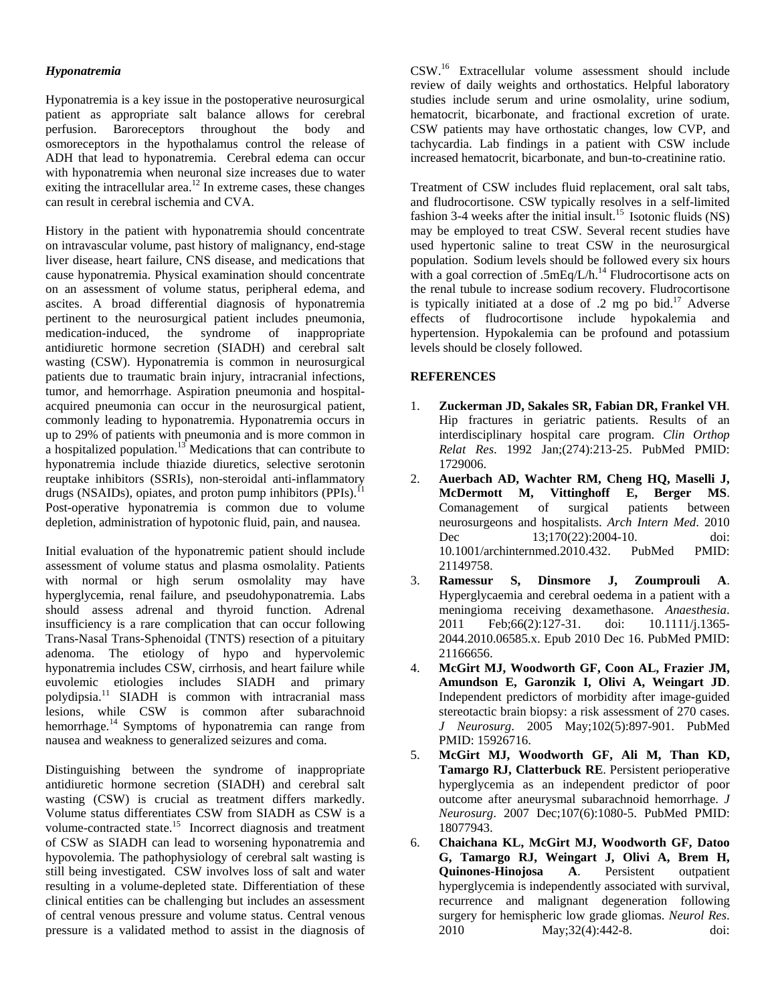#### *Hyponatremia*

Hyponatremia is a key issue in the postoperative neurosurgical patient as appropriate salt balance allows for cerebral perfusion. Baroreceptors throughout the body and osmoreceptors in the hypothalamus control the release of ADH that lead to hyponatremia. Cerebral edema can occur with hyponatremia when neuronal size increases due to water exiting the intracellular area.<sup>12</sup> In extreme cases, these changes can result in cerebral ischemia and CVA.

History in the patient with hyponatremia should concentrate on intravascular volume, past history of malignancy, end-stage liver disease, heart failure, CNS disease, and medications that cause hyponatremia. Physical examination should concentrate on an assessment of volume status, peripheral edema, and ascites. A broad differential diagnosis of hyponatremia pertinent to the neurosurgical patient includes pneumonia, medication-induced, the syndrome of inappropriate antidiuretic hormone secretion (SIADH) and cerebral salt wasting (CSW). Hyponatremia is common in neurosurgical patients due to traumatic brain injury, intracranial infections, tumor, and hemorrhage. Aspiration pneumonia and hospitalacquired pneumonia can occur in the neurosurgical patient, commonly leading to hyponatremia. Hyponatremia occurs in up to 29% of patients with pneumonia and is more common in a hospitalized population.<sup>13</sup> Medications that can contribute to hyponatremia include thiazide diuretics, selective serotonin reuptake inhibitors (SSRIs), non-steroidal anti-inflammatory drugs (NSAIDs), opiates, and proton pump inhibitors (PPIs).<sup>11</sup> Post-operative hyponatremia is common due to volume depletion, administration of hypotonic fluid, pain, and nausea.

Initial evaluation of the hyponatremic patient should include assessment of volume status and plasma osmolality. Patients with normal or high serum osmolality may have hyperglycemia, renal failure, and pseudohyponatremia. Labs should assess adrenal and thyroid function. Adrenal insufficiency is a rare complication that can occur following Trans-Nasal Trans-Sphenoidal (TNTS) resection of a pituitary adenoma. The etiology of hypo and hypervolemic hyponatremia includes CSW, cirrhosis, and heart failure while euvolemic etiologies includes SIADH and primary polydipsia.11 SIADH is common with intracranial mass lesions, while CSW is common after subarachnoid hemorrhage.<sup>14</sup> Symptoms of hyponatremia can range from nausea and weakness to generalized seizures and coma.

Distinguishing between the syndrome of inappropriate antidiuretic hormone secretion (SIADH) and cerebral salt wasting (CSW) is crucial as treatment differs markedly. Volume status differentiates CSW from SIADH as CSW is a volume-contracted state.<sup>15</sup> Incorrect diagnosis and treatment of CSW as SIADH can lead to worsening hyponatremia and hypovolemia. The pathophysiology of cerebral salt wasting is still being investigated. CSW involves loss of salt and water resulting in a volume-depleted state. Differentiation of these clinical entities can be challenging but includes an assessment of central venous pressure and volume status. Central venous pressure is a validated method to assist in the diagnosis of

CSW.16 Extracellular volume assessment should include review of daily weights and orthostatics. Helpful laboratory studies include serum and urine osmolality, urine sodium, hematocrit, bicarbonate, and fractional excretion of urate. CSW patients may have orthostatic changes, low CVP, and tachycardia. Lab findings in a patient with CSW include increased hematocrit, bicarbonate, and bun-to-creatinine ratio.

Treatment of CSW includes fluid replacement, oral salt tabs, and fludrocortisone. CSW typically resolves in a self-limited fashion 3-4 weeks after the initial insult.<sup>15</sup> Isotonic fluids (NS) may be employed to treat CSW. Several recent studies have used hypertonic saline to treat CSW in the neurosurgical population. Sodium levels should be followed every six hours with a goal correction of  $.5mEq/L/h.<sup>14</sup>$  Fludrocortisone acts on the renal tubule to increase sodium recovery. Fludrocortisone is typically initiated at a dose of  $.2 \text{ mg}$  po bid.<sup>17</sup> Adverse effects of fludrocortisone include hypokalemia and hypertension. Hypokalemia can be profound and potassium levels should be closely followed.

### **REFERENCES**

- 1. **Zuckerman JD, Sakales SR, Fabian DR, Frankel VH**. Hip fractures in geriatric patients. Results of an interdisciplinary hospital care program. *Clin Orthop Relat Res*. 1992 Jan;(274):213-25. PubMed PMID: 1729006.
- 2. **Auerbach AD, Wachter RM, Cheng HQ, Maselli J, McDermott M, Vittinghoff E, Berger MS**. Comanagement of surgical patients between neurosurgeons and hospitalists. *Arch Intern Med*. 2010 Dec 13;170(22):2004-10. doi: 10.1001/archinternmed.2010.432. PubMed PMID: 21149758.
- 3. **Ramessur S, Dinsmore J, Zoumprouli A**. Hyperglycaemia and cerebral oedema in a patient with a meningioma receiving dexamethasone. *Anaesthesia*. 2011 Feb;66(2):127-31. doi: 10.1111/j.1365- 2044.2010.06585.x. Epub 2010 Dec 16. PubMed PMID: 21166656.
- 4. **McGirt MJ, Woodworth GF, Coon AL, Frazier JM, Amundson E, Garonzik I, Olivi A, Weingart JD**. Independent predictors of morbidity after image-guided stereotactic brain biopsy: a risk assessment of 270 cases. *J Neurosurg*. 2005 May;102(5):897-901. PubMed PMID: 15926716.
- 5. **McGirt MJ, Woodworth GF, Ali M, Than KD, Tamargo RJ, Clatterbuck RE**. Persistent perioperative hyperglycemia as an independent predictor of poor outcome after aneurysmal subarachnoid hemorrhage. *J Neurosurg*. 2007 Dec;107(6):1080-5. PubMed PMID: 18077943.
- 6. **Chaichana KL, McGirt MJ, Woodworth GF, Datoo G, Tamargo RJ, Weingart J, Olivi A, Brem H, Quinones-Hinojosa A**. Persistent outpatient hyperglycemia is independently associated with survival, recurrence and malignant degeneration following surgery for hemispheric low grade gliomas. *Neurol Res*. 2010 May;32(4):442-8. doi: